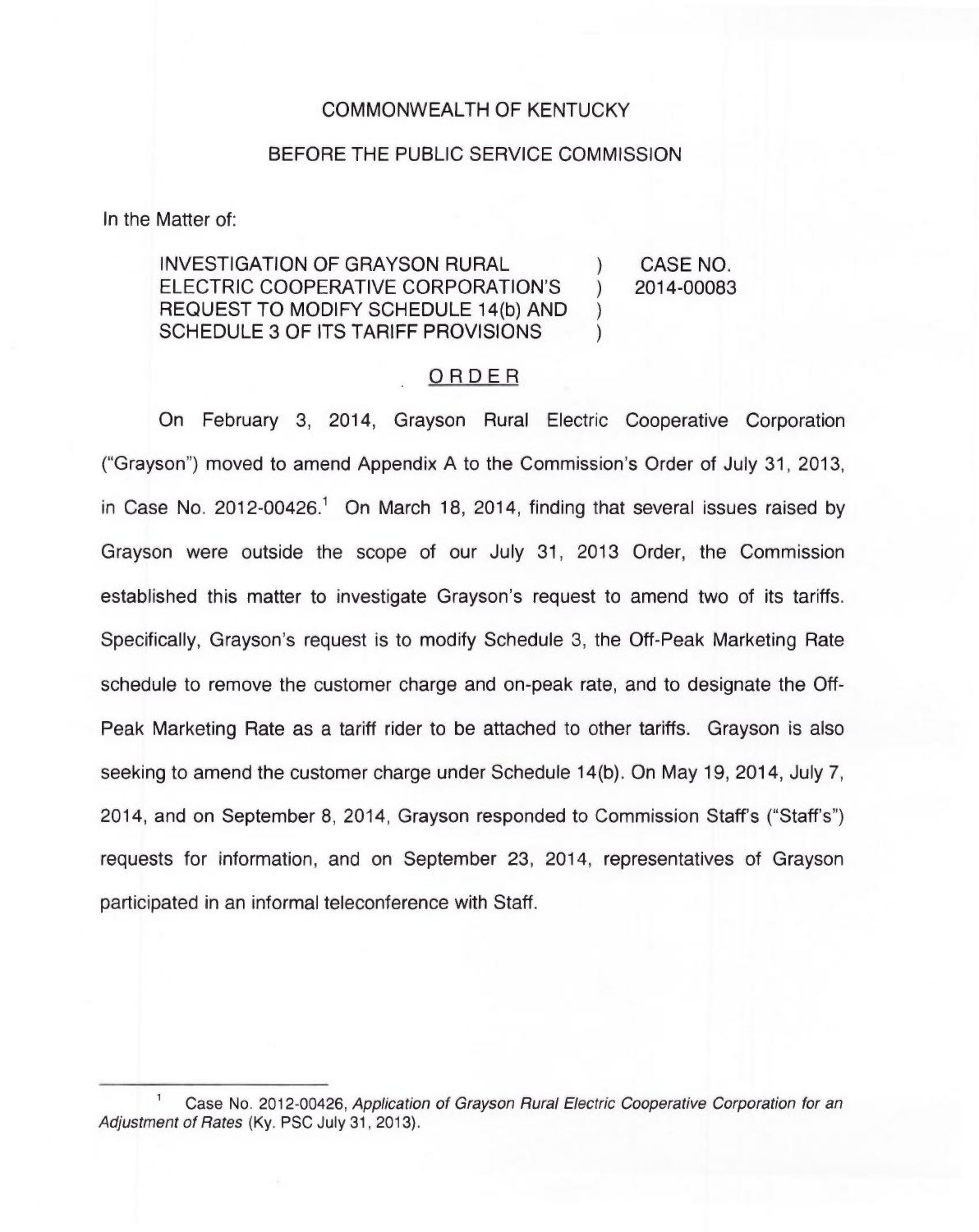## COMMONWEALTH OF KENTUCKY

## BEFORE THE PUBLIC SERVICE COMMISSION

In the Matter of:

INVESTIGATION OF GRAYSON RURAL (a) CASE NO.<br>ELECTRIC COOPERATIVE CORPORATION'S (2014-00083) ELECTRIC COOPERATIVE CORPORATION'S ) REQUEST TO MODIFY SCHEDULE 14(b) AND ) SCHEDULE 3 OF ITS TARIFF PROVISIONS

## ORDER

On February 3, 2014, Grayson Rural Electric Cooperative Corporation ("Grayson") moved to amend Appendix A to the Commission's Order of July 31, 2013, in Case No. 2012-00426.<sup>1</sup> On March 18, 2014, finding that several issues raised by Grayson were outside the scope of our July 31, 2013 Order, the Commission established this matter to investigate Grayson's request to amend two of its tariffs. Specifically, Grayson's request is to modify Schedule 3, the Off-Peak Marketing Rate schedule to remove the customer charge and on-peak rate, and to designate the Off-Peak Marketing Rate as a tariff rider to be attached to other tariffs. Grayson is also seeking to amend the customer charge under Schedule 14(b). On May 19, 2014, July 7, 2014, and on September 8, 2014, Grayson responded to Commission Staff's ("Staff's") requests for information, and on September 23, 2014, representatives of Grayson participated in an informal teleconference with Staff.

Case No. 2012-00426, Application of Grayson Rural Electric Cooperative Corporation for an Adjustment of Rates (Ky. PSC July 31, 2013).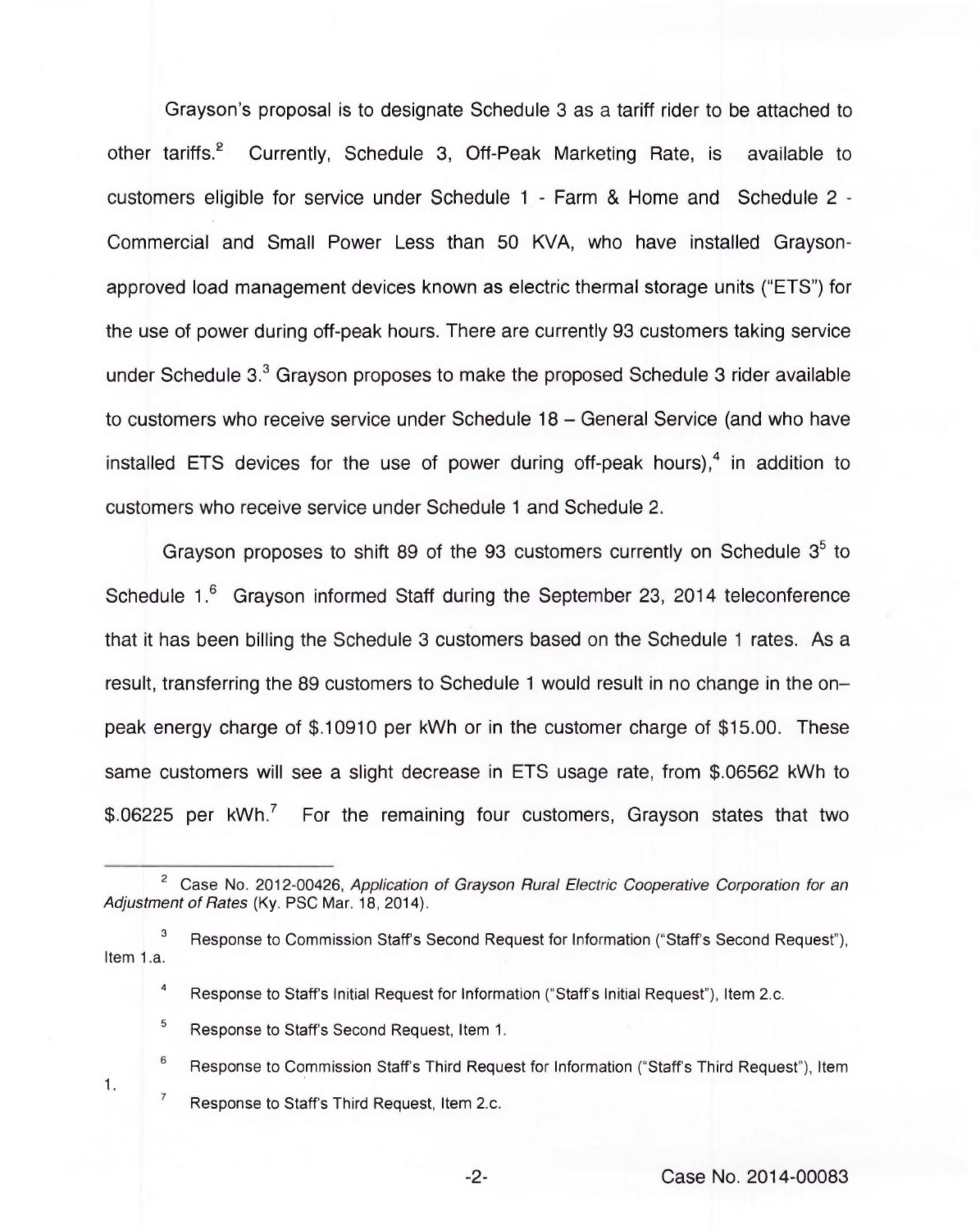Grayson's proposal is to designate Schedule 3 as a tariff rider to be attached to other tariffs.<sup>2</sup> Currently, Schedule 3, Off-Peak Marketing Rate, is available to customers eligible for service under Schedule <sup>1</sup> - Farm & Home and Schedule 2- Commercial and Small Power Less than 50 KVA, who have installed Graysonapproved load management devices known as electric thermal storage units ("ETS") for the use of power during off-peak hours. There are currently 93 customers taking service under Schedule  $3<sup>3</sup>$  Grayson proposes to make the proposed Schedule 3 rider available to customers who receive service under Schedule 18 —General Service (and who have installed ETS devices for the use of power during off-peak hours), $4$  in addition to customers who receive service under Schedule <sup>1</sup> and Schedule 2.

Grayson proposes to shift 89 of the 93 customers currently on Schedule  $3<sup>5</sup>$  to Schedule 1.<sup>6</sup> Grayson informed Staff during the September 23, 2014 teleconference that it has been billing the Schedule 3 customers based on the Schedule <sup>1</sup> rates. As a result, transferring the 89 customers to Schedule <sup>1</sup> would result in no change in the onpeak energy charge of \$.10910 per kWh or in the customer charge of \$15.00. These same customers will see a slight decrease in ETS usage rate, from \$.06562 kWh to \$.06225 per  $kWh$ <sup>7</sup> For the remaining four customers, Grayson states that two

- $\mathbf{3}$ Response to Commission Staff's Second Request for Information ("Staff's Second Request"), Item 1.a.
	- $\overline{\mathbf{4}}$ Response to Staff's Initial Request for Information ("Staff's Initial Request"), Item 2.c.
	- 5 Response to Staff's Second Request, Item 1.
	- 6 Response to Commission Staff's Third Request for Information ("Staff's Third Request"), Item  $\overline{7}$ Response to Staff's Third Request, Item 2.c.

<sup>&</sup>lt;sup>2</sup> Case No. 2012-00426, Application of Grayson Rural Electric Cooperative Corporation for an Adjustment of Rates (Ky. PSC Mar. 18, 2014).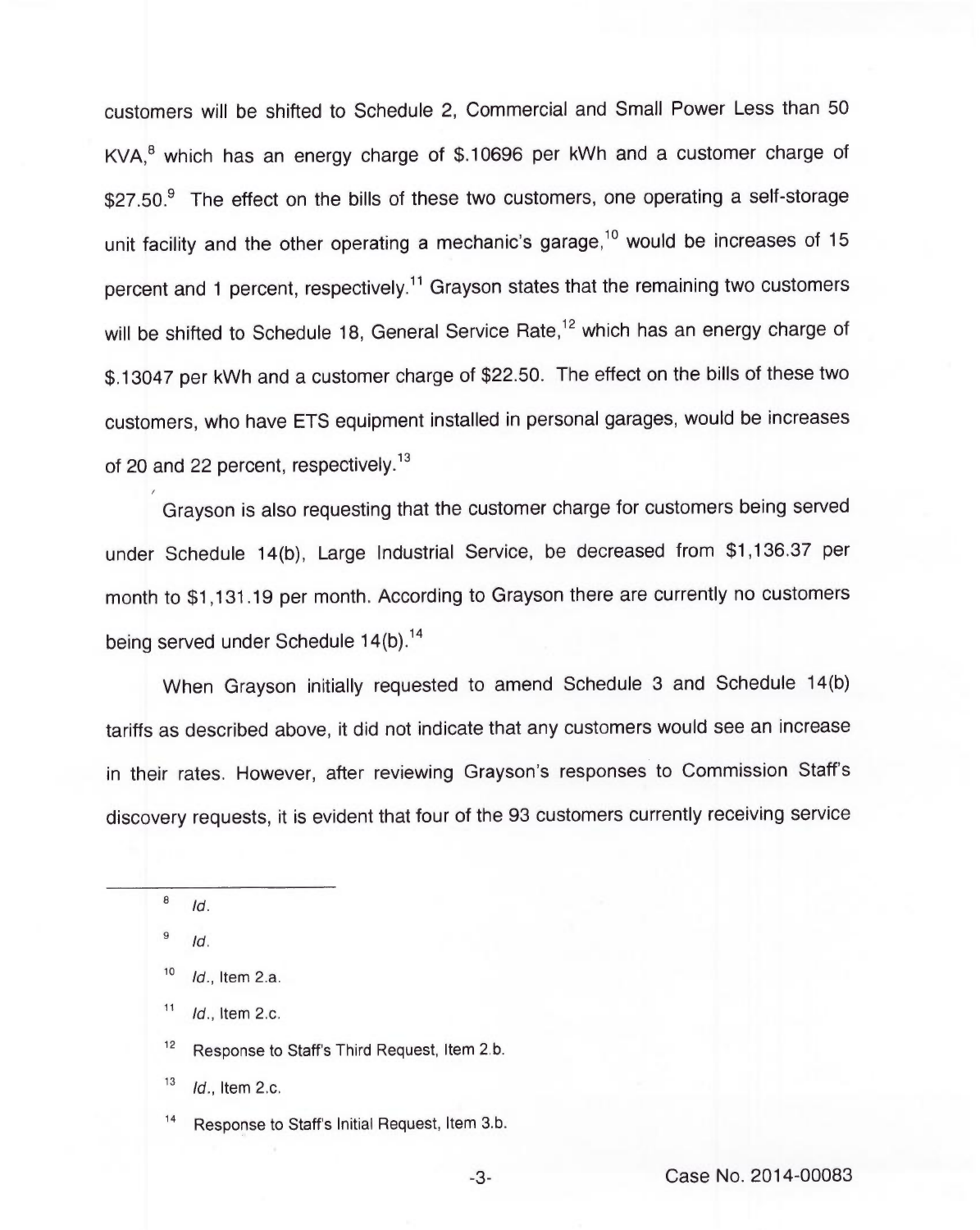customers will be shifted to Schedule 2, Commercial and Small Power Less than 50 KVA,<sup>8</sup> which has an energy charge of \$.10696 per kWh and a customer charge of  $$27.50<sup>9</sup>$  The effect on the bills of these two customers, one operating a self-storage unit facility and the other operating a mechanic's garage,<sup>10</sup> would be increases of 15 percent and 1 percent, respectively.<sup>11</sup> Grayson states that the remaining two customers will be shifted to Schedule 18, General Service Rate,<sup>12</sup> which has an energy charge of \$.13047 per kWh and a customer charge of \$22.50. The effect on the bills of these two customers, who have ETS equipment installed in personal garages, would be increases of 20 and 22 percent, respectively.<sup>13</sup>

Grayson is also requesting that the customer charge for customers being served under Schedule 14(b), Large Industrial Service, be decreased from \$1,136.37 per month to \$1,131.19 per month. According to Grayson there are currently no customers being served under Schedule 14(b).<sup>14</sup>

When Grayson initially requested to amend Schedule 3 and Schedule 14(b) tariffs as described above, it did not indicate that any customers would see an increase in their rates. However, after reviewing Grayson's responses to Commission Staff's discovery requests, it is evident that four of the 93 customers currently receiving service

I

9 Id.

 $12$ Response to Staff's Third Request, Item 2,b.

13 Id., Item 2.c.

 $14$ Response to Staff's Initial Request, Item 3.b.

<sup>8</sup> Id.

 $10$ Id., Item 2.a.

 $11$ Id., Item 2.c.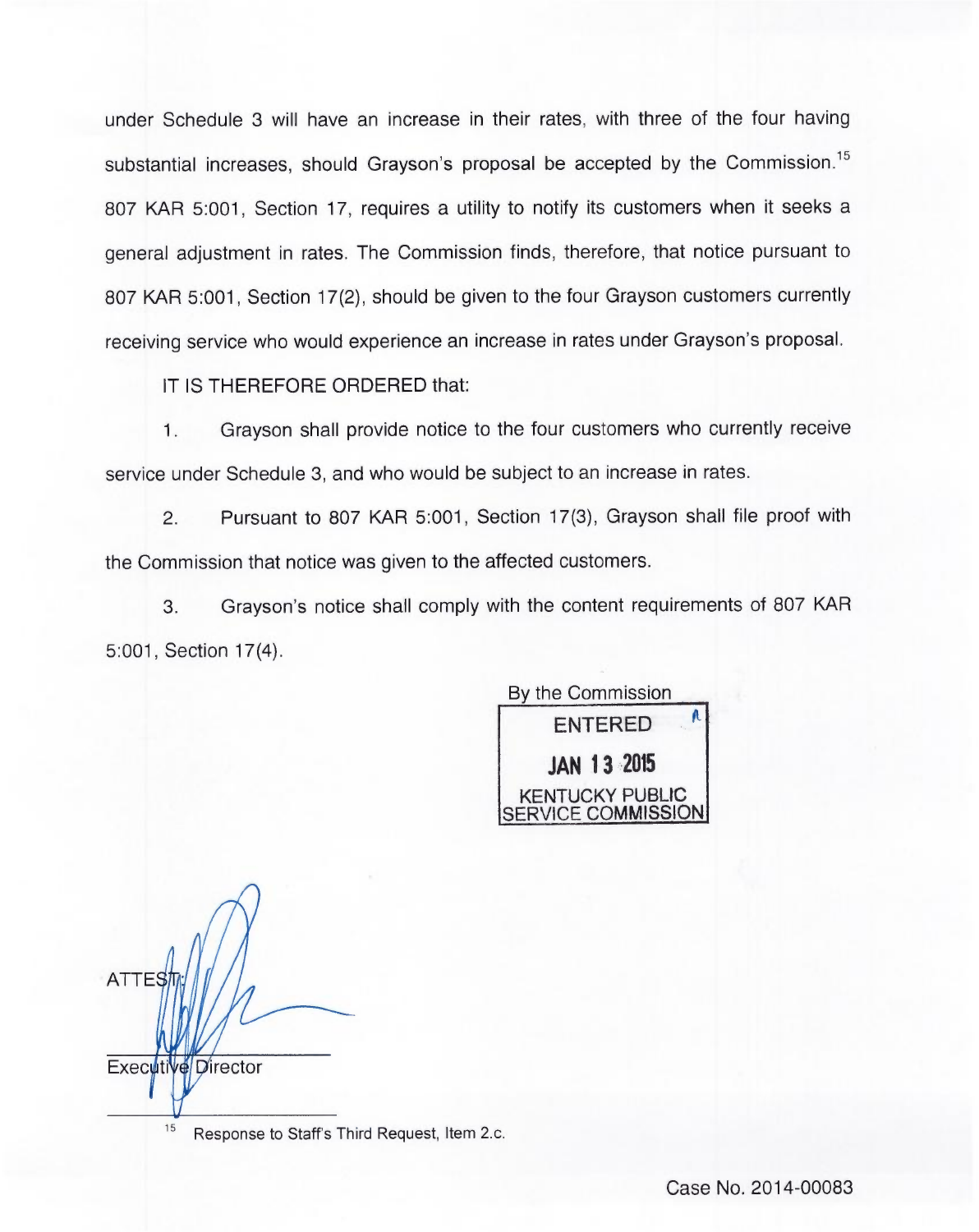under Schedule 3 will have an increase in their rates, with three of the four having substantial increases, should Grayson's proposal be accepted by the Commission.<sup>15</sup> 807 KAR 5:001, Section 17, requires a utility to notify its customers when it seeks a general adjustment in rates. The Commission finds, therefore, that notice pursuant to 807 KAR 5:001, Section 17(2), should be given to the four Grayson customers currently receiving service who would experience an increase in rates under Grayson's proposal.

IT IS THEREFORE ORDERED that:

1. Grayson shall provide notice to the four customers who currently receive service under Schedule 3, and who would be subject to an increase in rates.

Pursuant to 807 KAR 5:001, Section 17(3), Grayson shall file proof with  $\overline{2}$ the Commission that notice was given to the affected customers.

3. Grayson's notice shall comply with the content requirements of 807 KAR 5:001, Section 17(4).

By the Commission A ENTERED JAN 13 295 KENTUCKY PUBLIC VICE COMMISSION

**ATTES** Executive Director 15

Response to Staff's Third Request, Item 2.c.